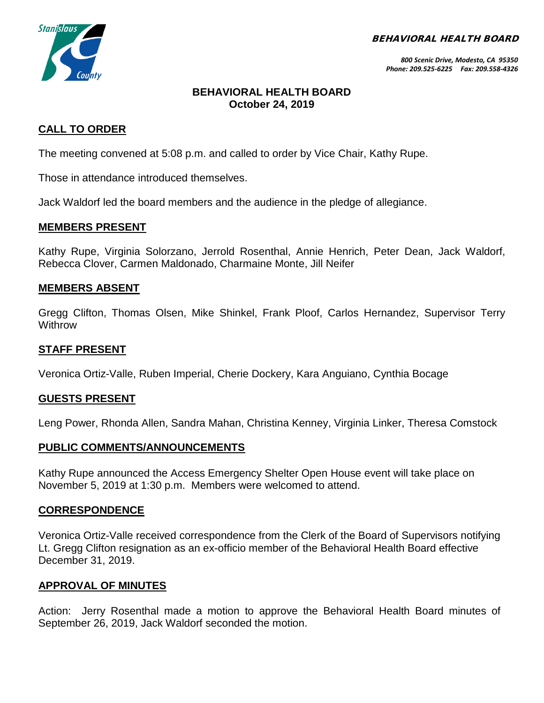BEHAVIORAL HEALTH BOARD



*800 Scenic Drive, Modesto, CA 95350 Phone: 209.525-6225 Fax: 209.558-4326*

### **BEHAVIORAL HEALTH BOARD October 24, 2019**

### **CALL TO ORDER**

The meeting convened at 5:08 p.m. and called to order by Vice Chair, Kathy Rupe.

Those in attendance introduced themselves.

Jack Waldorf led the board members and the audience in the pledge of allegiance.

### **MEMBERS PRESENT**

Kathy Rupe, Virginia Solorzano, Jerrold Rosenthal, Annie Henrich, Peter Dean, Jack Waldorf, Rebecca Clover, Carmen Maldonado, Charmaine Monte, Jill Neifer

### **MEMBERS ABSENT**

Gregg Clifton, Thomas Olsen, Mike Shinkel, Frank Ploof, Carlos Hernandez, Supervisor Terry **Withrow** 

### **STAFF PRESENT**

Veronica Ortiz-Valle, Ruben Imperial, Cherie Dockery, Kara Anguiano, Cynthia Bocage

### **GUESTS PRESENT**

Leng Power, Rhonda Allen, Sandra Mahan, Christina Kenney, Virginia Linker, Theresa Comstock

#### **PUBLIC COMMENTS/ANNOUNCEMENTS**

Kathy Rupe announced the Access Emergency Shelter Open House event will take place on November 5, 2019 at 1:30 p.m. Members were welcomed to attend.

#### **CORRESPONDENCE**

Veronica Ortiz-Valle received correspondence from the Clerk of the Board of Supervisors notifying Lt. Gregg Clifton resignation as an ex-officio member of the Behavioral Health Board effective December 31, 2019.

### **APPROVAL OF MINUTES**

Action: Jerry Rosenthal made a motion to approve the Behavioral Health Board minutes of September 26, 2019, Jack Waldorf seconded the motion.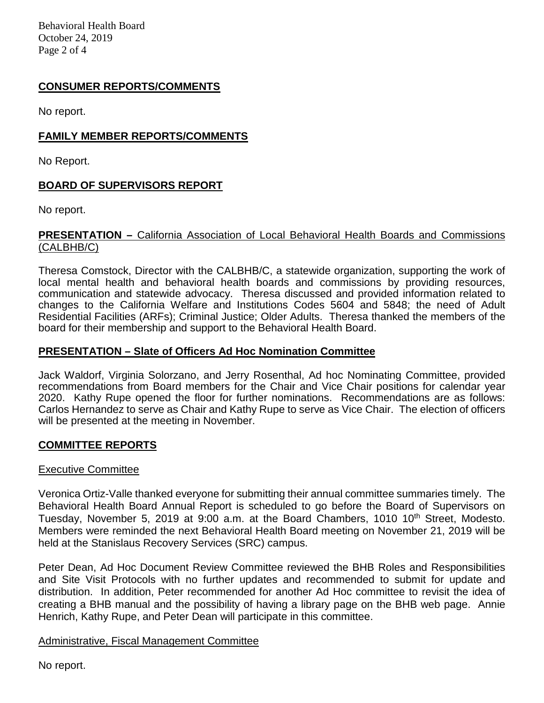Behavioral Health Board October 24, 2019 Page 2 of 4

# **CONSUMER REPORTS/COMMENTS**

No report.

### **FAMILY MEMBER REPORTS/COMMENTS**

No Report.

# **BOARD OF SUPERVISORS REPORT**

No report.

#### **PRESENTATION –** California Association of Local Behavioral Health Boards and Commissions (CALBHB/C)

Theresa Comstock, Director with the CALBHB/C, a statewide organization, supporting the work of local mental health and behavioral health boards and commissions by providing resources, communication and statewide advocacy. Theresa discussed and provided information related to changes to the California Welfare and Institutions Codes 5604 and 5848; the need of Adult Residential Facilities (ARFs); Criminal Justice; Older Adults. Theresa thanked the members of the board for their membership and support to the Behavioral Health Board.

#### **PRESENTATION – Slate of Officers Ad Hoc Nomination Committee**

Jack Waldorf, Virginia Solorzano, and Jerry Rosenthal, Ad hoc Nominating Committee, provided recommendations from Board members for the Chair and Vice Chair positions for calendar year 2020. Kathy Rupe opened the floor for further nominations. Recommendations are as follows: Carlos Hernandez to serve as Chair and Kathy Rupe to serve as Vice Chair. The election of officers will be presented at the meeting in November.

### **COMMITTEE REPORTS**

#### Executive Committee

Veronica Ortiz-Valle thanked everyone for submitting their annual committee summaries timely. The Behavioral Health Board Annual Report is scheduled to go before the Board of Supervisors on Tuesday, November 5, 2019 at 9:00 a.m. at the Board Chambers, 1010 10<sup>th</sup> Street, Modesto. Members were reminded the next Behavioral Health Board meeting on November 21, 2019 will be held at the Stanislaus Recovery Services (SRC) campus.

Peter Dean, Ad Hoc Document Review Committee reviewed the BHB Roles and Responsibilities and Site Visit Protocols with no further updates and recommended to submit for update and distribution. In addition, Peter recommended for another Ad Hoc committee to revisit the idea of creating a BHB manual and the possibility of having a library page on the BHB web page. Annie Henrich, Kathy Rupe, and Peter Dean will participate in this committee.

### Administrative, Fiscal Management Committee

No report.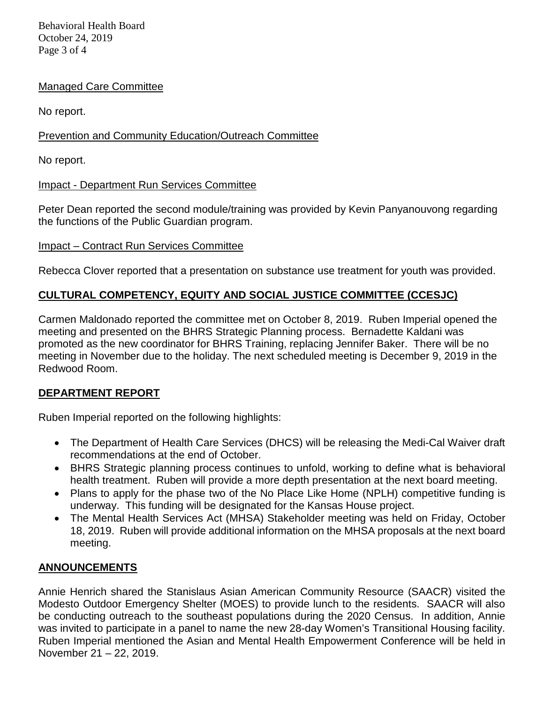Behavioral Health Board October 24, 2019 Page 3 of 4

# Managed Care Committee

No report.

# Prevention and Community Education/Outreach Committee

No report.

# Impact - Department Run Services Committee

Peter Dean reported the second module/training was provided by Kevin Panyanouvong regarding the functions of the Public Guardian program.

# Impact – Contract Run Services Committee

Rebecca Clover reported that a presentation on substance use treatment for youth was provided.

# **CULTURAL COMPETENCY, EQUITY AND SOCIAL JUSTICE COMMITTEE (CCESJC)**

Carmen Maldonado reported the committee met on October 8, 2019. Ruben Imperial opened the meeting and presented on the BHRS Strategic Planning process. Bernadette Kaldani was promoted as the new coordinator for BHRS Training, replacing Jennifer Baker. There will be no meeting in November due to the holiday. The next scheduled meeting is December 9, 2019 in the Redwood Room.

# **DEPARTMENT REPORT**

Ruben Imperial reported on the following highlights:

- The Department of Health Care Services (DHCS) will be releasing the Medi-Cal Waiver draft recommendations at the end of October.
- BHRS Strategic planning process continues to unfold, working to define what is behavioral health treatment. Ruben will provide a more depth presentation at the next board meeting.
- Plans to apply for the phase two of the No Place Like Home (NPLH) competitive funding is underway. This funding will be designated for the Kansas House project.
- The Mental Health Services Act (MHSA) Stakeholder meeting was held on Friday, October 18, 2019. Ruben will provide additional information on the MHSA proposals at the next board meeting.

# **ANNOUNCEMENTS**

Annie Henrich shared the Stanislaus Asian American Community Resource (SAACR) visited the Modesto Outdoor Emergency Shelter (MOES) to provide lunch to the residents. SAACR will also be conducting outreach to the southeast populations during the 2020 Census. In addition, Annie was invited to participate in a panel to name the new 28-day Women's Transitional Housing facility. Ruben Imperial mentioned the Asian and Mental Health Empowerment Conference will be held in November 21 – 22, 2019.